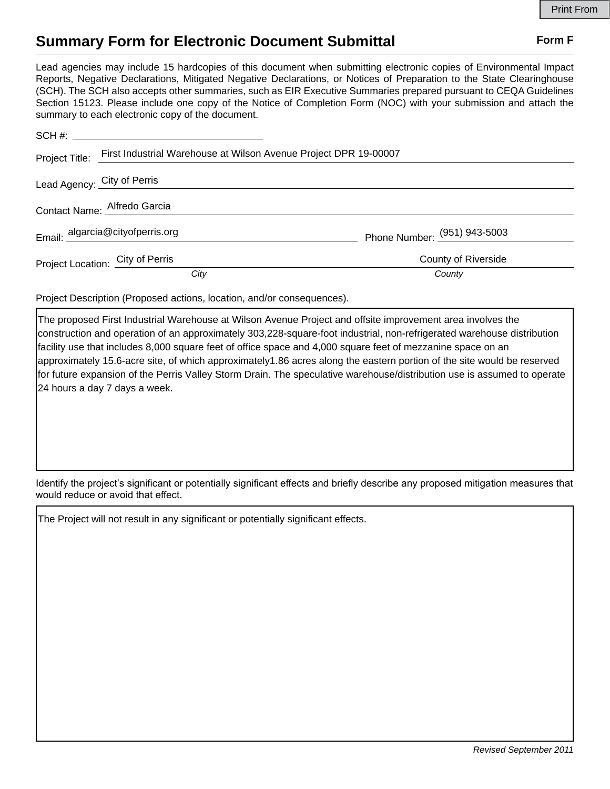## **Summary Form for Electronic Document Submittal Form F Form F**

Lead agencies may include 15 hardcopies of this document when submitting electronic copies of Environmental Impact Reports, Negative Declarations, Mitigated Negative Declarations, or Notices of Preparation to the State Clearinghouse (SCH). The SCH also accepts other summaries, such as EIR Executive Summaries prepared pursuant to CEQA Guidelines Section 15123. Please include one copy of the Notice of Completion Form (NOC) with your submission and attach the summary to each electronic copy of the document.

|                                  | Project Title: First Industrial Warehouse at Wilson Avenue Project DPR 19-00007 |                                |
|----------------------------------|---------------------------------------------------------------------------------|--------------------------------|
| Lead Agency: City of Perris      |                                                                                 |                                |
|                                  | Contact Name: Alfredo Garcia                                                    |                                |
|                                  | Email: algarcia@cityofperris.org                                                | Phone Number: $(951)$ 943-5003 |
| Project Location: City of Perris |                                                                                 | County of Riverside            |
|                                  | City                                                                            | County                         |

Project Description (Proposed actions, location, and/or consequences).

The proposed First Industrial Warehouse at Wilson Avenue Project and offsite improvement area involves the construction and operation of an approximately 303,228-square-foot industrial, non-refrigerated warehouse distribution facility use that includes 8,000 square feet of office space and 4,000 square feet of mezzanine space on an approximately 15.6-acre site, of which approximately1.86 acres along the eastern portion of the site would be reserved for future expansion of the Perris Valley Storm Drain. The speculative warehouse/distribution use is assumed to operate 24 hours a day 7 days a week.

Identify the project's significant or potentially significant effects and briefly describe any proposed mitigation measures that would reduce or avoid that effect.

The Project will not result in any significant or potentially significant effects.